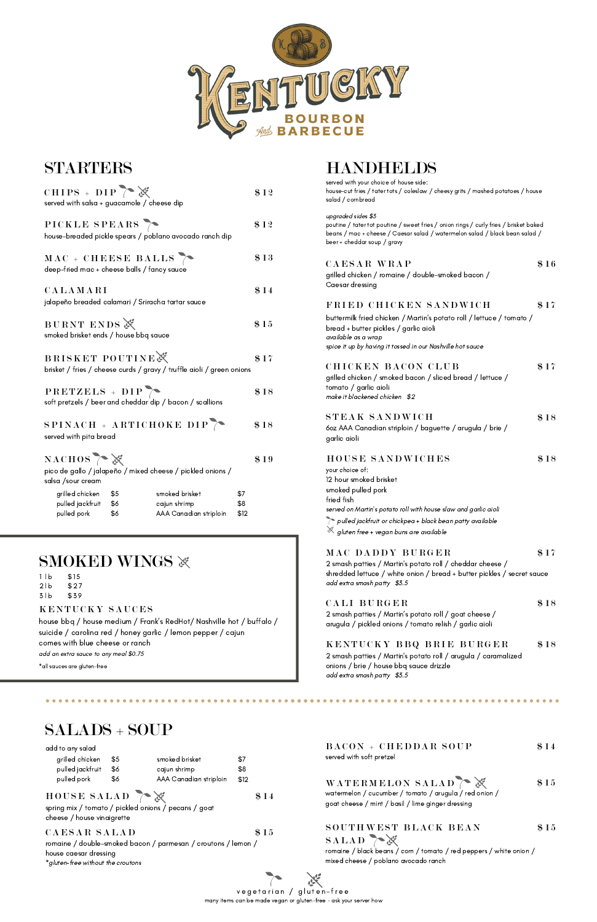vegetarian / gluten-free many items can be made vegan or gluten-free - ask your server how

### H O U S E S A L A D

| served with your choice of house side:<br>house-cut fries / tater tots / coleslaw / cheesy grits / mashed potatoes / house<br>salad / cornbread                                                                              |        |
|------------------------------------------------------------------------------------------------------------------------------------------------------------------------------------------------------------------------------|--------|
| upgraded sides \$3<br>poutine / tater tot poutine / sweet fries / onion rings / curly fries / brisket baked<br>beans / mac + cheese / Caesar salad / watermelon salad / black bean salad /<br>beer + cheddar soup / gravy    |        |
| CAESAR WRAP<br>grilled chicken / romaine / double-smoked bacon /<br>Caesar dressing                                                                                                                                          | \$16   |
| FRIED CHICKEN SANDWICH<br>buttermilk fried chicken / Martin's potato roll / lettuce / tomato /<br>bread + butter pickles / garlic aioli<br>available as a wrap<br>spice it up by having it tossed in our Nashville hot sauce | $\$17$ |
| CHICKEN BACON CLUB<br>grilled chicken / smoked bacon / sliced bread / lettuce /<br>tomato / garlic aioli<br>make it blackened chicken \$2                                                                                    | $\$17$ |
| STEAK SANDWICH<br>60z AAA Canadian striploin / baguette / arugula / brie /<br>garlic aioli                                                                                                                                   | \$18   |
| <b>HOUSE SANDWICHES</b><br>your choice of:<br>12 hour smoked brisket<br>smoked pulled pork<br>fried fish<br>served on Martin's potato roll with house slaw and garlic aioli                                                  | $\$18$ |
| $\sum$ pulled jackfruit or chickpea + black bean patty available<br>gluten free + vegan buns are available                                                                                                                   |        |
| MAC DADDY BURGER<br>2 smash patties / Martin's potato roll / cheddar cheese /<br>shredded lettuce / white onion / bread + butter pickles / secret sauce<br>add extra smash patty \$3.5                                       | $\$17$ |
| CALI BURGER<br>2 smash patties / Martin's potato roll / goat cheese /<br>arugula / pickled onions / tomato relish / garlic aioli                                                                                             | \$18   |
| KENTUCKY BBQ BRIE BURGER                                                                                                                                                                                                     | $\$18$ |

2 smash patties / Martin's potato roll / arugula / caramalized onions / brie / house bbq sauce drizzle add extra smash patty \$3.5

1 l b 2 l b 3 l b \$ 1 5 \$ 2 7 \$ 3 9

### KENTUCKY SAUCES

romaine / double-smoked bacon / parmesan / croutons / lemon / house caesar dressing \*gluten-free without the croutons

### SOUTHWEST BLACK BEAN SALAD \$ 1 5

## SALADS + SOUP

BACON + CHEDDAR SOUP served with soft pretzel \$ 1 4

WATERMELON SALAD

\$ 1 5

spring mix / tomato / pickled onions / pecans / goat cheese / house vinaigrette

### CAESAR SALAD

\$ 1 4

watermelon / cucumber / tomato / arugula / red onion / goat cheese / mint / basil / lime ginger dressing

\$ 1 5



 $\begin{array}{ccccccccccccccccc} \bullet & \bullet & \bullet & \bullet & \bullet & \bullet & \bullet & \bullet \end{array}$ 

| CHIPS + DIP<br>served with salsa + guacamole / cheese dip                                                                                              | $\$12$ |  |  |
|--------------------------------------------------------------------------------------------------------------------------------------------------------|--------|--|--|
| PICKLE SPEARS<br>house-breaded pickle spears / poblano avocado ranch dip                                                                               |        |  |  |
| MAC + CHEESE BALLS<br>deep-fried mac + cheese balls / fancy sauce                                                                                      |        |  |  |
| CALAMARI<br>jalapeño breaded calamari / Sriracha tartar sauce                                                                                          | $\$14$ |  |  |
| BURNT ENDS<br>\$15<br>smoked brisket ends / house bbq sauce                                                                                            |        |  |  |
| <b>BRISKET POUTINE</b><br>brisket / fries / cheese curds / gravy / truffle aioli / green onions                                                        | \$17   |  |  |
| PRETZELS + DIP<br>soft pretzels / beer and cheddar dip / bacon / scallions                                                                             | $\$18$ |  |  |
| SPINACH + ARTICHOKE DIP<br>served with pita bread                                                                                                      | $\$18$ |  |  |
| NACHOS &<br>pico de gallo / jalapeño / mixed cheese / pickled onions /<br>salsa /sour cream                                                            | $\$19$ |  |  |
| grilled chicken<br>\$5<br>smoked brisket<br>\$7<br>pulled jackfruit \$6<br>cajun shrimp<br>\$8<br>pulled pork<br>AAA Canadian striploin<br>\$12<br>\$6 |        |  |  |

### **SMOKED WINGS &**

romaine / black beans / corn / tomato / red peppers / white onion / mixed cheese / poblano avocado ranch

\*all sauces are gluten-free

# STARTERS HANDHELDS

house bbq / house medium / Frank's RedHot/ Nashville hot / buffalo / suicide / carolina red / honey garlic / lemon pepper / cajun comes with blue cheese or ranch add an extra sauce to any meal \$0.75

| grilled chicken  | \$5 | smoked brisket         | \$7  |
|------------------|-----|------------------------|------|
| pulled jackfruit | \$6 | cajun shrimp           | \$8  |
| pulled pork      | \$6 | AAA Canadian striploin | \$12 |

add to any salad